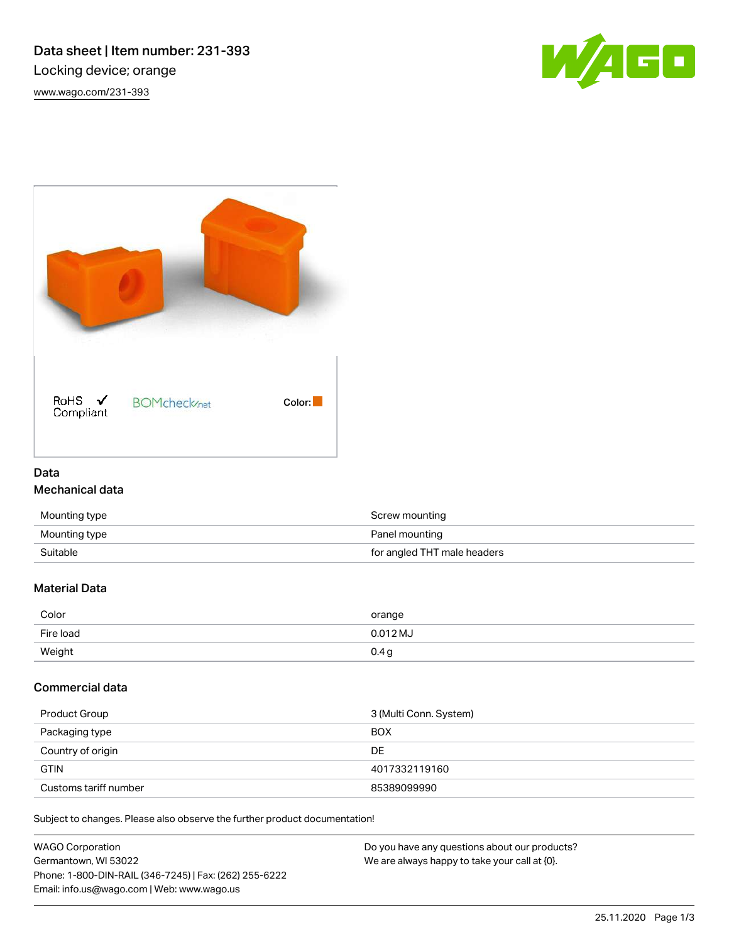# Data sheet | Item number: 231-393 Locking device; orange

[www.wago.com/231-393](http://www.wago.com/231-393)





# Data Mechanical data

| Mounting type | Screw mounting              |
|---------------|-----------------------------|
| Mounting type | Panel mounting              |
| Suitable      | for angled THT male headers |

# Material Data

| Color     | orange     |
|-----------|------------|
| Fire load | $0.012$ MJ |
| Weight    | 0.4 g      |

## Commercial data

| Product Group         | 3 (Multi Conn. System) |
|-----------------------|------------------------|
| Packaging type        | <b>BOX</b>             |
| Country of origin     | DE                     |
| <b>GTIN</b>           | 4017332119160          |
| Customs tariff number | 85389099990            |

Subject to changes. Please also observe the further product documentation!

| <b>WAGO Corporation</b>                                | Do you have any questions about our products? |
|--------------------------------------------------------|-----------------------------------------------|
| Germantown, WI 53022                                   | We are always happy to take your call at {0}. |
| Phone: 1-800-DIN-RAIL (346-7245)   Fax: (262) 255-6222 |                                               |
| Email: info.us@wago.com   Web: www.wago.us             |                                               |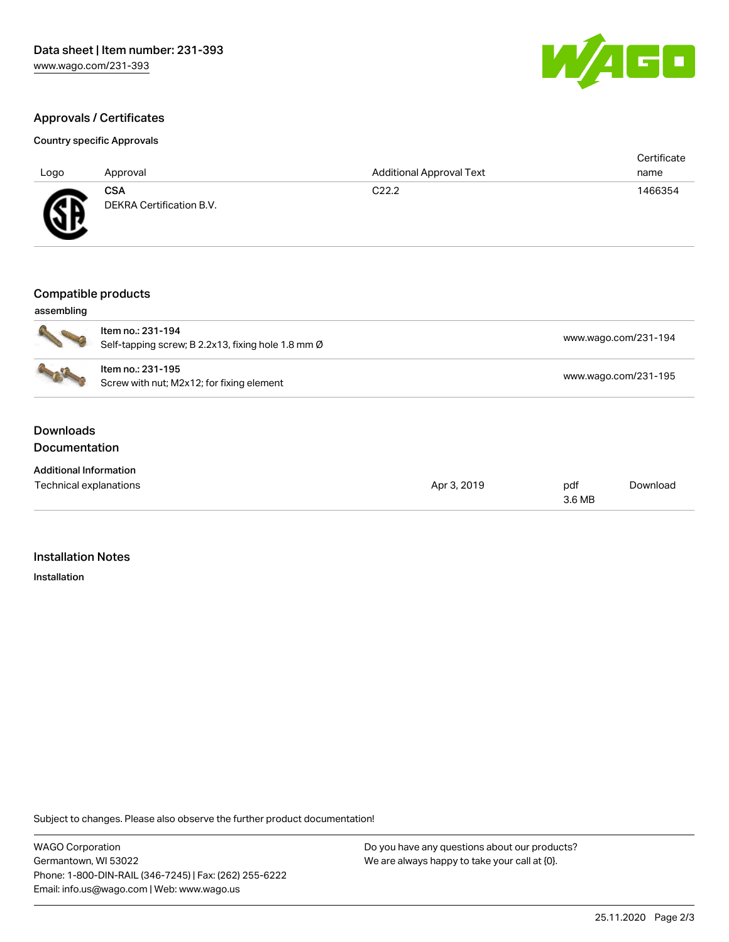

[www.wago.com/231-195](http://www.wago.com/231-195)

## Approvals / Certificates

#### Country specific Approvals

| Logo           | Approval                               | <b>Additional Approval Text</b> | Certificate<br>name |
|----------------|----------------------------------------|---------------------------------|---------------------|
| <b>SF</b><br>∼ | <b>CSA</b><br>DEKRA Certification B.V. | C <sub>22.2</sub>               | 1466354             |

Self-tapping screw; B 2.2x13, fixing hole 1.8 mm Ø [www.wago.com/231-194](http://www.wago.com/231-194)

#### Compatible products

Item no.: 231-194

| assembling |  |
|------------|--|
|            |  |



| ltem no.: 231-195                         |  |
|-------------------------------------------|--|
| Screw with nut; M2x12; for fixing element |  |

#### **Downloads Documentation**

| <b>Additional Information</b> |             |        |          |
|-------------------------------|-------------|--------|----------|
| Technical explanations        | Apr 3, 2019 | pdf    | Download |
|                               |             | 3.6 MB |          |

#### Installation Notes

Installation

Subject to changes. Please also observe the further product documentation!

WAGO Corporation Germantown, WI 53022 Phone: 1-800-DIN-RAIL (346-7245) | Fax: (262) 255-6222 Email: info.us@wago.com | Web: www.wago.us

Do you have any questions about our products? We are always happy to take your call at {0}.